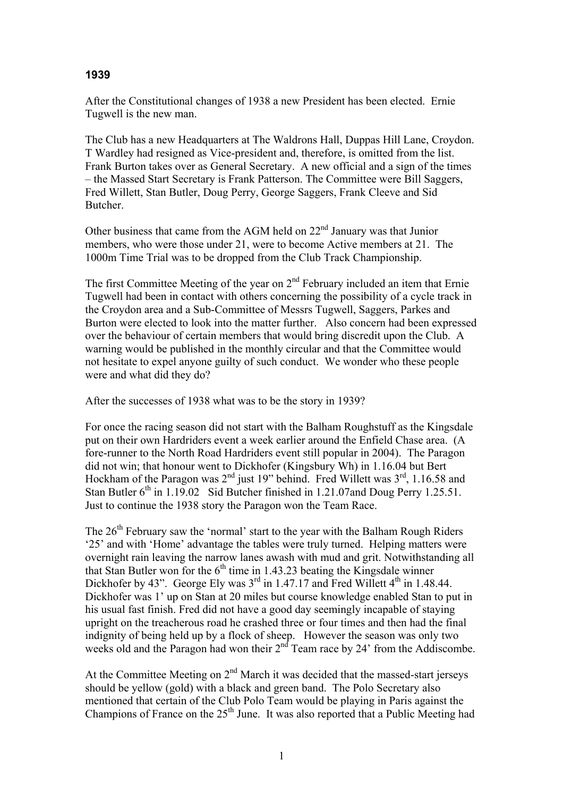## **1939**

After the Constitutional changes of 1938 a new President has been elected. Ernie Tugwell is the new man.

The Club has a new Headquarters at The Waldrons Hall, Duppas Hill Lane, Croydon. T Wardley had resigned as Vice-president and, therefore, is omitted from the list. Frank Burton takes over as General Secretary. A new official and a sign of the times – the Massed Start Secretary is Frank Patterson. The Committee were Bill Saggers, Fred Willett, Stan Butler, Doug Perry, George Saggers, Frank Cleeve and Sid Butcher.

Other business that came from the AGM held on  $22<sup>nd</sup>$  January was that Junior members, who were those under 21, were to become Active members at 21. The 1000m Time Trial was to be dropped from the Club Track Championship.

The first Committee Meeting of the year on  $2<sup>nd</sup>$  February included an item that Ernie Tugwell had been in contact with others concerning the possibility of a cycle track in the Croydon area and a Sub-Committee of Messrs Tugwell, Saggers, Parkes and Burton were elected to look into the matter further. Also concern had been expressed over the behaviour of certain members that would bring discredit upon the Club. A warning would be published in the monthly circular and that the Committee would not hesitate to expel anyone guilty of such conduct. We wonder who these people were and what did they do?

After the successes of 1938 what was to be the story in 1939?

For once the racing season did not start with the Balham Roughstuff as the Kingsdale put on their own Hardriders event a week earlier around the Enfield Chase area. (A fore-runner to the North Road Hardriders event still popular in 2004). The Paragon did not win; that honour went to Dickhofer (Kingsbury Wh) in 1.16.04 but Bert Hockham of the Paragon was 2<sup>nd</sup> just 19" behind. Fred Willett was 3<sup>rd</sup>, 1.16.58 and Stan Butler  $6<sup>th</sup>$  in 1.19.02 Sid Butcher finished in 1.21.07and Doug Perry 1.25.51. Just to continue the 1938 story the Paragon won the Team Race.

The  $26<sup>th</sup>$  February saw the 'normal' start to the year with the Balham Rough Riders '25' and with 'Home' advantage the tables were truly turned. Helping matters were overnight rain leaving the narrow lanes awash with mud and grit. Notwithstanding all that Stan Butler won for the  $6<sup>th</sup>$  time in 1.43.23 beating the Kingsdale winner Dickhofer by 43". George Ely was  $3^{rd}$  in 1.47.17 and Fred Willett  $4^{th}$  in 1.48.44. Dickhofer was 1' up on Stan at 20 miles but course knowledge enabled Stan to put in his usual fast finish. Fred did not have a good day seemingly incapable of staying upright on the treacherous road he crashed three or four times and then had the final indignity of being held up by a flock of sheep. However the season was only two weeks old and the Paragon had won their 2<sup>nd</sup> Team race by 24' from the Addiscombe.

At the Committee Meeting on  $2<sup>nd</sup>$  March it was decided that the massed-start jerseys should be yellow (gold) with a black and green band. The Polo Secretary also mentioned that certain of the Club Polo Team would be playing in Paris against the Champions of France on the  $25<sup>th</sup>$  June. It was also reported that a Public Meeting had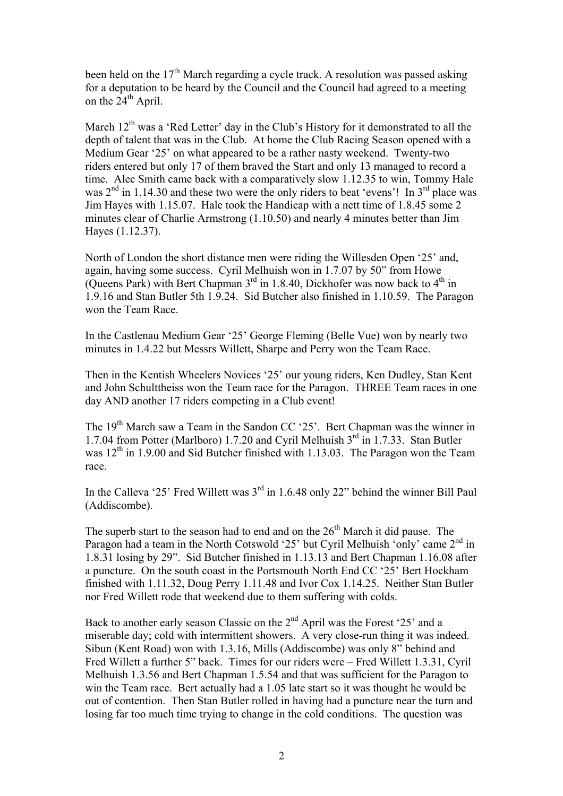been held on the  $17<sup>th</sup>$  March regarding a cycle track. A resolution was passed asking for a deputation to be heard by the Council and the Council had agreed to a meeting on the  $24<sup>th</sup>$  April.

March  $12<sup>th</sup>$  was a 'Red Letter' day in the Club's History for it demonstrated to all the depth of talent that was in the Club. At home the Club Racing Season opened with a Medium Gear '25' on what appeared to be a rather nasty weekend. Twenty-two riders entered but only 17 of them braved the Start and only 13 managed to record a time. Alec Smith came back with a comparatively slow 1.12.35 to win, Tommy Hale was  $2<sup>nd</sup>$  in 1.14.30 and these two were the only riders to beat 'evens'! In  $3<sup>rd</sup>$  place was Jim Hayes with 1.15.07. Hale took the Handicap with a nett time of 1.8.45 some 2 minutes clear of Charlie Armstrong (1.10.50) and nearly 4 minutes better than Jim Hayes (1.12.37).

North of London the short distance men were riding the Willesden Open '25' and, again, having some success. Cyril Melhuish won in 1.7.07 by 50" from Howe (Queens Park) with Bert Chapman  $3<sup>rd</sup>$  in 1.8.40, Dickhofer was now back to  $4<sup>th</sup>$  in 1.9.16 and Stan Butler 5th 1.9.24. Sid Butcher also finished in 1.10.59. The Paragon won the Team Race.

In the Castlenau Medium Gear '25' George Fleming (Belle Vue) won by nearly two minutes in 1.4.22 but Messrs Willett, Sharpe and Perry won the Team Race.

Then in the Kentish Wheelers Novices '25' our young riders, Ken Dudley, Stan Kent and John Schulttheiss won the Team race for the Paragon. THREE Team races in one day AND another 17 riders competing in a Club event!

The 19th March saw a Team in the Sandon CC '25'. Bert Chapman was the winner in 1.7.04 from Potter (Marlboro) 1.7.20 and Cyril Melhuish  $3<sup>rd</sup>$  in 1.7.33. Stan Butler was  $12<sup>th</sup>$  in 1.9.00 and Sid Butcher finished with 1.13.03. The Paragon won the Team race.

In the Calleva '25' Fred Willett was 3<sup>rd</sup> in 1.6.48 only 22" behind the winner Bill Paul (Addiscombe).

The superb start to the season had to end and on the  $26<sup>th</sup>$  March it did pause. The Paragon had a team in the North Cotswold '25' but Cyril Melhuish 'only' came 2<sup>nd</sup> in 1.8.31 losing by 29". Sid Butcher finished in 1.13.13 and Bert Chapman 1.16.08 after a puncture. On the south coast in the Portsmouth North End CC '25' Bert Hockham finished with 1.11.32, Doug Perry 1.11.48 and Ivor Cox 1.14.25. Neither Stan Butler nor Fred Willett rode that weekend due to them suffering with colds.

Back to another early season Classic on the 2<sup>nd</sup> April was the Forest '25' and a miserable day; cold with intermittent showers. A very close-run thing it was indeed. Sibun (Kent Road) won with 1.3.16, Mills (Addiscombe) was only 8" behind and Fred Willett a further 5" back. Times for our riders were – Fred Willett 1.3.31, Cyril Melhuish 1.3.56 and Bert Chapman 1.5.54 and that was sufficient for the Paragon to win the Team race. Bert actually had a 1.05 late start so it was thought he would be out of contention. Then Stan Butler rolled in having had a puncture near the turn and losing far too much time trying to change in the cold conditions. The question was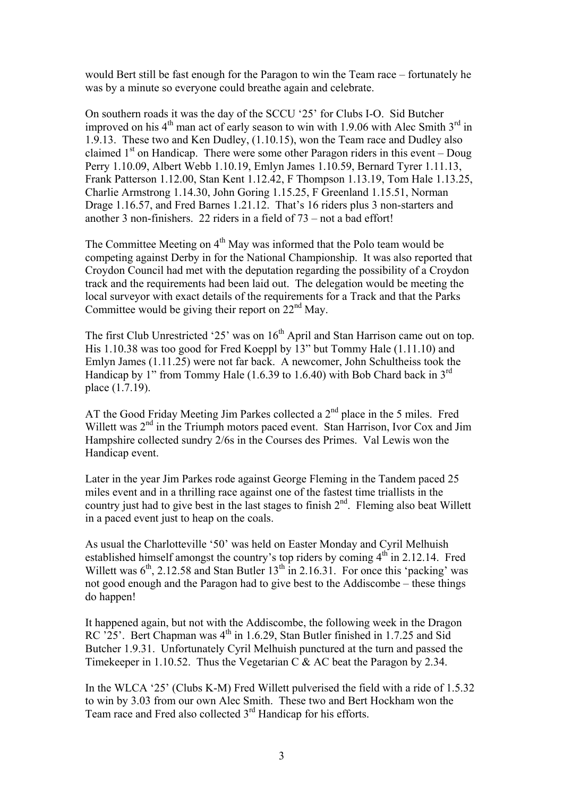would Bert still be fast enough for the Paragon to win the Team race – fortunately he was by a minute so everyone could breathe again and celebrate.

On southern roads it was the day of the SCCU '25' for Clubs I-O. Sid Butcher improved on his  $4<sup>th</sup>$  man act of early season to win with 1.9.06 with Alec Smith  $3<sup>rd</sup>$  in 1.9.13. These two and Ken Dudley, (1.10.15), won the Team race and Dudley also claimed  $1<sup>st</sup>$  on Handicap. There were some other Paragon riders in this event – Doug Perry 1.10.09, Albert Webb 1.10.19, Emlyn James 1.10.59, Bernard Tyrer 1.11.13, Frank Patterson 1.12.00, Stan Kent 1.12.42, F Thompson 1.13.19, Tom Hale 1.13.25, Charlie Armstrong 1.14.30, John Goring 1.15.25, F Greenland 1.15.51, Norman Drage 1.16.57, and Fred Barnes 1.21.12. That's 16 riders plus 3 non-starters and another 3 non-finishers. 22 riders in a field of 73 – not a bad effort!

The Committee Meeting on  $4<sup>th</sup>$  May was informed that the Polo team would be competing against Derby in for the National Championship. It was also reported that Croydon Council had met with the deputation regarding the possibility of a Croydon track and the requirements had been laid out. The delegation would be meeting the local surveyor with exact details of the requirements for a Track and that the Parks Committee would be giving their report on  $22<sup>nd</sup>$  May.

The first Club Unrestricted '25' was on  $16<sup>th</sup>$  April and Stan Harrison came out on top. His 1.10.38 was too good for Fred Koeppl by 13" but Tommy Hale (1.11.10) and Emlyn James (1.11.25) were not far back. A newcomer, John Schultheiss took the Handicap by 1" from Tommy Hale  $(1.6.39 \text{ to } 1.6.40)$  with Bob Chard back in 3<sup>rd</sup> place (1.7.19).

AT the Good Friday Meeting Jim Parkes collected a 2<sup>nd</sup> place in the 5 miles. Fred Willett was 2<sup>nd</sup> in the Triumph motors paced event. Stan Harrison, Ivor Cox and Jim Hampshire collected sundry 2/6s in the Courses des Primes. Val Lewis won the Handicap event.

Later in the year Jim Parkes rode against George Fleming in the Tandem paced 25 miles event and in a thrilling race against one of the fastest time triallists in the country just had to give best in the last stages to finish  $2<sup>nd</sup>$ . Fleming also beat Willett in a paced event just to heap on the coals.

As usual the Charlotteville '50' was held on Easter Monday and Cyril Melhuish established himself amongst the country's top riders by coming  $4<sup>th</sup>$  in 2.12.14. Fred Willett was  $6<sup>th</sup>$ , 2.12.58 and Stan Butler  $13<sup>th</sup>$  in 2.16.31. For once this 'packing' was not good enough and the Paragon had to give best to the Addiscombe – these things do happen!

It happened again, but not with the Addiscombe, the following week in the Dragon RC  $25'$ . Bert Chapman was  $4<sup>th</sup>$  in 1.6.29, Stan Butler finished in 1.7.25 and Sid Butcher 1.9.31. Unfortunately Cyril Melhuish punctured at the turn and passed the Timekeeper in 1.10.52. Thus the Vegetarian C & AC beat the Paragon by 2.34.

In the WLCA '25' (Clubs K-M) Fred Willett pulverised the field with a ride of 1.5.32 to win by 3.03 from our own Alec Smith. These two and Bert Hockham won the Team race and Fred also collected 3<sup>rd</sup> Handicap for his efforts.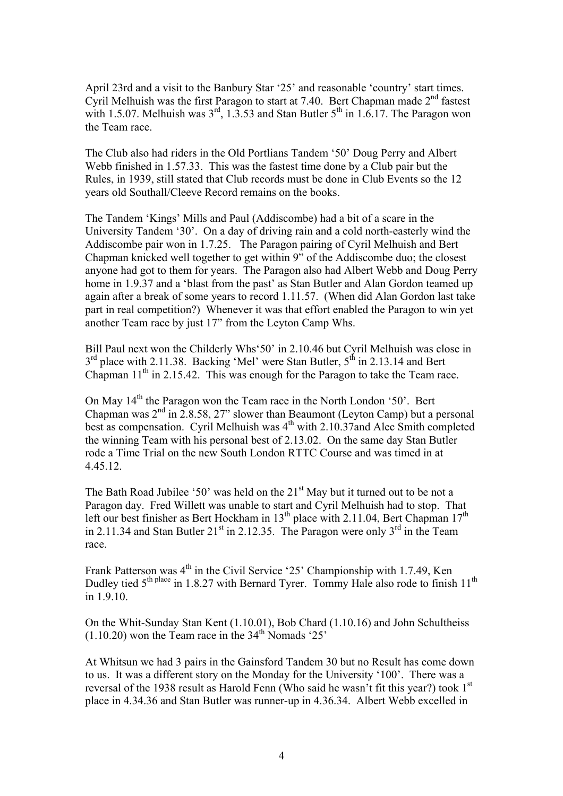April 23rd and a visit to the Banbury Star '25' and reasonable 'country' start times. Cyril Melhuish was the first Paragon to start at 7.40. Bert Chapman made  $2<sup>nd</sup>$  fastest with 1.5.07. Melhuish was  $3^{rd}$ , 1.3.53 and Stan Butler  $5^{th}$  in 1.6.17. The Paragon won the Team race.

The Club also had riders in the Old Portlians Tandem '50' Doug Perry and Albert Webb finished in 1.57.33. This was the fastest time done by a Club pair but the Rules, in 1939, still stated that Club records must be done in Club Events so the 12 years old Southall/Cleeve Record remains on the books.

The Tandem 'Kings' Mills and Paul (Addiscombe) had a bit of a scare in the University Tandem '30'. On a day of driving rain and a cold north-easterly wind the Addiscombe pair won in 1.7.25. The Paragon pairing of Cyril Melhuish and Bert Chapman knicked well together to get within 9" of the Addiscombe duo; the closest anyone had got to them for years. The Paragon also had Albert Webb and Doug Perry home in 1.9.37 and a 'blast from the past' as Stan Butler and Alan Gordon teamed up again after a break of some years to record 1.11.57. (When did Alan Gordon last take part in real competition?) Whenever it was that effort enabled the Paragon to win yet another Team race by just 17" from the Leyton Camp Whs.

Bill Paul next won the Childerly Whs'50' in 2.10.46 but Cyril Melhuish was close in 3<sup>rd</sup> place with 2.11.38. Backing 'Mel' were Stan Butler, 5<sup>th</sup> in 2.13.14 and Bert Chapman  $11<sup>th</sup>$  in 2.15.42. This was enough for the Paragon to take the Team race.

On May 14<sup>th</sup> the Paragon won the Team race in the North London '50'. Bert Chapman was  $2^{nd}$  in  $2.8.58$ ,  $27$ " slower than Beaumont (Leyton Camp) but a personal best as compensation. Cyril Melhuish was  $4<sup>th</sup>$  with 2.10.37and Alec Smith completed the winning Team with his personal best of 2.13.02. On the same day Stan Butler rode a Time Trial on the new South London RTTC Course and was timed in at 4.45.12.

The Bath Road Jubilee '50' was held on the  $21<sup>st</sup>$  May but it turned out to be not a Paragon day. Fred Willett was unable to start and Cyril Melhuish had to stop. That left our best finisher as Bert Hockham in  $13<sup>th</sup>$  place with 2.11.04, Bert Chapman  $17<sup>th</sup>$ in 2.11.34 and Stan Butler  $21<sup>st</sup>$  in 2.12.35. The Paragon were only  $3<sup>rd</sup>$  in the Team race.

Frank Patterson was 4<sup>th</sup> in the Civil Service '25' Championship with 1.7.49, Ken Dudley tied  $5^{th}$  place in 1.8.27 with Bernard Tyrer. Tommy Hale also rode to finish 11<sup>th</sup> in 1.9.10.

On the Whit-Sunday Stan Kent (1.10.01), Bob Chard (1.10.16) and John Schultheiss  $(1.10.20)$  won the Team race in the 34<sup>th</sup> Nomads '25'

At Whitsun we had 3 pairs in the Gainsford Tandem 30 but no Result has come down to us. It was a different story on the Monday for the University '100'. There was a reversal of the 1938 result as Harold Fenn (Who said he wasn't fit this year?) took 1<sup>st</sup> place in 4.34.36 and Stan Butler was runner-up in 4.36.34. Albert Webb excelled in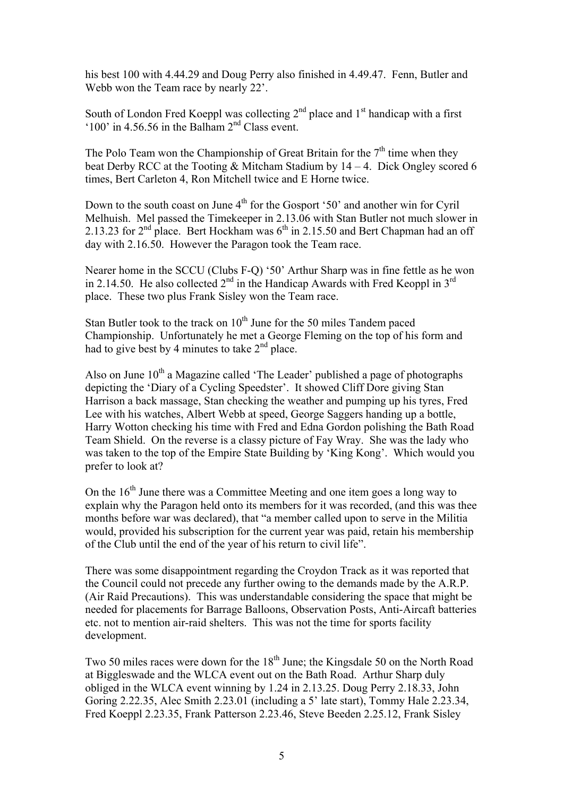his best 100 with 4.44.29 and Doug Perry also finished in 4.49.47. Fenn, Butler and Webb won the Team race by nearly 22'.

South of London Fred Koeppl was collecting  $2<sup>nd</sup>$  place and  $1<sup>st</sup>$  handicap with a first '100' in 4.56.56 in the Balham  $2<sup>nd</sup>$  Class event.

The Polo Team won the Championship of Great Britain for the  $7<sup>th</sup>$  time when they beat Derby RCC at the Tooting  $&$  Mitcham Stadium by 14 – 4. Dick Ongley scored 6 times, Bert Carleton 4, Ron Mitchell twice and E Horne twice.

Down to the south coast on June  $4<sup>th</sup>$  for the Gosport '50' and another win for Cyril Melhuish. Mel passed the Timekeeper in 2.13.06 with Stan Butler not much slower in 2.13.23 for  $2<sup>nd</sup>$  place. Bert Hockham was  $6<sup>th</sup>$  in 2.15.50 and Bert Chapman had an off day with 2.16.50. However the Paragon took the Team race.

Nearer home in the SCCU (Clubs F-Q) '50' Arthur Sharp was in fine fettle as he won in 2.14.50. He also collected  $2<sup>nd</sup>$  in the Handicap Awards with Fred Keoppl in  $3<sup>rd</sup>$ place. These two plus Frank Sisley won the Team race.

Stan Butler took to the track on  $10^{th}$  June for the 50 miles Tandem paced Championship. Unfortunately he met a George Fleming on the top of his form and had to give best by 4 minutes to take  $2<sup>nd</sup>$  place.

Also on June  $10<sup>th</sup>$  a Magazine called 'The Leader' published a page of photographs depicting the 'Diary of a Cycling Speedster'. It showed Cliff Dore giving Stan Harrison a back massage, Stan checking the weather and pumping up his tyres, Fred Lee with his watches, Albert Webb at speed, George Saggers handing up a bottle, Harry Wotton checking his time with Fred and Edna Gordon polishing the Bath Road Team Shield. On the reverse is a classy picture of Fay Wray. She was the lady who was taken to the top of the Empire State Building by 'King Kong'. Which would you prefer to look at?

On the  $16<sup>th</sup>$  June there was a Committee Meeting and one item goes a long way to explain why the Paragon held onto its members for it was recorded, (and this was thee months before war was declared), that "a member called upon to serve in the Militia would, provided his subscription for the current year was paid, retain his membership of the Club until the end of the year of his return to civil life".

There was some disappointment regarding the Croydon Track as it was reported that the Council could not precede any further owing to the demands made by the A.R.P. (Air Raid Precautions). This was understandable considering the space that might be needed for placements for Barrage Balloons, Observation Posts, Anti-Aircaft batteries etc. not to mention air-raid shelters. This was not the time for sports facility development.

Two 50 miles races were down for the  $18<sup>th</sup>$  June; the Kingsdale 50 on the North Road at Biggleswade and the WLCA event out on the Bath Road. Arthur Sharp duly obliged in the WLCA event winning by 1.24 in 2.13.25. Doug Perry 2.18.33, John Goring 2.22.35, Alec Smith 2.23.01 (including a 5' late start), Tommy Hale 2.23.34, Fred Koeppl 2.23.35, Frank Patterson 2.23.46, Steve Beeden 2.25.12, Frank Sisley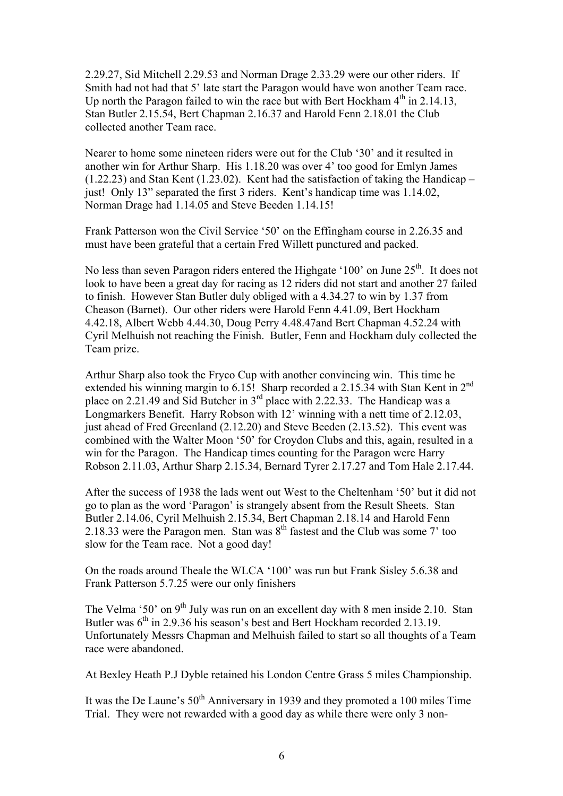2.29.27, Sid Mitchell 2.29.53 and Norman Drage 2.33.29 were our other riders. If Smith had not had that 5' late start the Paragon would have won another Team race. Up north the Paragon failed to win the race but with Bert Hockham  $4<sup>th</sup>$  in 2.14.13, Stan Butler 2.15.54, Bert Chapman 2.16.37 and Harold Fenn 2.18.01 the Club collected another Team race.

Nearer to home some nineteen riders were out for the Club '30' and it resulted in another win for Arthur Sharp. His 1.18.20 was over 4' too good for Emlyn James (1.22.23) and Stan Kent (1.23.02). Kent had the satisfaction of taking the Handicap – just! Only 13" separated the first 3 riders. Kent's handicap time was 1.14.02, Norman Drage had 1.14.05 and Steve Beeden 1.14.15!

Frank Patterson won the Civil Service '50' on the Effingham course in 2.26.35 and must have been grateful that a certain Fred Willett punctured and packed.

No less than seven Paragon riders entered the Highgate '100' on June  $25<sup>th</sup>$ . It does not look to have been a great day for racing as 12 riders did not start and another 27 failed to finish. However Stan Butler duly obliged with a 4.34.27 to win by 1.37 from Cheason (Barnet). Our other riders were Harold Fenn 4.41.09, Bert Hockham 4.42.18, Albert Webb 4.44.30, Doug Perry 4.48.47and Bert Chapman 4.52.24 with Cyril Melhuish not reaching the Finish. Butler, Fenn and Hockham duly collected the Team prize.

Arthur Sharp also took the Fryco Cup with another convincing win. This time he extended his winning margin to 6.15! Sharp recorded a 2.15.34 with Stan Kent in 2<sup>nd</sup> place on 2.21.49 and Sid Butcher in  $3<sup>rd</sup>$  place with 2.22.33. The Handicap was a Longmarkers Benefit. Harry Robson with 12' winning with a nett time of 2.12.03, just ahead of Fred Greenland (2.12.20) and Steve Beeden (2.13.52). This event was combined with the Walter Moon '50' for Croydon Clubs and this, again, resulted in a win for the Paragon. The Handicap times counting for the Paragon were Harry Robson 2.11.03, Arthur Sharp 2.15.34, Bernard Tyrer 2.17.27 and Tom Hale 2.17.44.

After the success of 1938 the lads went out West to the Cheltenham '50' but it did not go to plan as the word 'Paragon' is strangely absent from the Result Sheets. Stan Butler 2.14.06, Cyril Melhuish 2.15.34, Bert Chapman 2.18.14 and Harold Fenn 2.18.33 were the Paragon men. Stan was  $8<sup>th</sup>$  fastest and the Club was some 7' too slow for the Team race. Not a good day!

On the roads around Theale the WLCA '100' was run but Frank Sisley 5.6.38 and Frank Patterson 5.7.25 were our only finishers

The Velma '50' on  $9<sup>th</sup>$  July was run on an excellent day with 8 men inside 2.10. Stan Butler was  $6<sup>th</sup>$  in 2.9.36 his season's best and Bert Hockham recorded 2.13.19. Unfortunately Messrs Chapman and Melhuish failed to start so all thoughts of a Team race were abandoned.

At Bexley Heath P.J Dyble retained his London Centre Grass 5 miles Championship.

It was the De Laune's  $50<sup>th</sup>$  Anniversary in 1939 and they promoted a 100 miles Time Trial. They were not rewarded with a good day as while there were only 3 non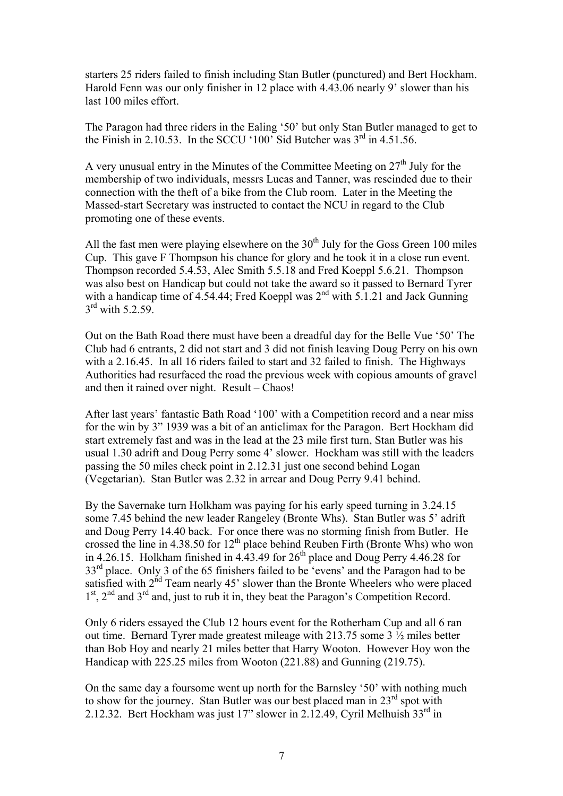starters 25 riders failed to finish including Stan Butler (punctured) and Bert Hockham. Harold Fenn was our only finisher in 12 place with 4.43.06 nearly 9' slower than his last 100 miles effort.

The Paragon had three riders in the Ealing '50' but only Stan Butler managed to get to the Finish in 2.10.53. In the SCCU '100' Sid Butcher was  $3<sup>rd</sup>$  in 4.51.56.

A very unusual entry in the Minutes of the Committee Meeting on  $27<sup>th</sup>$  July for the membership of two individuals, messrs Lucas and Tanner, was rescinded due to their connection with the theft of a bike from the Club room. Later in the Meeting the Massed-start Secretary was instructed to contact the NCU in regard to the Club promoting one of these events.

All the fast men were playing elsewhere on the  $30<sup>th</sup>$  July for the Goss Green 100 miles Cup. This gave F Thompson his chance for glory and he took it in a close run event. Thompson recorded 5.4.53, Alec Smith 5.5.18 and Fred Koeppl 5.6.21. Thompson was also best on Handicap but could not take the award so it passed to Bernard Tyrer with a handicap time of 4.54.44; Fred Koeppl was  $2<sup>nd</sup>$  with 5.1.21 and Jack Gunning  $3<sup>rd</sup>$  with 5.2.59.

Out on the Bath Road there must have been a dreadful day for the Belle Vue '50' The Club had 6 entrants, 2 did not start and 3 did not finish leaving Doug Perry on his own with a 2.16.45. In all 16 riders failed to start and 32 failed to finish. The Highways Authorities had resurfaced the road the previous week with copious amounts of gravel and then it rained over night. Result – Chaos!

After last years' fantastic Bath Road '100' with a Competition record and a near miss for the win by 3" 1939 was a bit of an anticlimax for the Paragon. Bert Hockham did start extremely fast and was in the lead at the 23 mile first turn, Stan Butler was his usual 1.30 adrift and Doug Perry some 4' slower. Hockham was still with the leaders passing the 50 miles check point in 2.12.31 just one second behind Logan (Vegetarian). Stan Butler was 2.32 in arrear and Doug Perry 9.41 behind.

By the Savernake turn Holkham was paying for his early speed turning in 3.24.15 some 7.45 behind the new leader Rangeley (Bronte Whs). Stan Butler was 5' adrift and Doug Perry 14.40 back. For once there was no storming finish from Butler. He crossed the line in  $4.38.50$  for  $12<sup>th</sup>$  place behind Reuben Firth (Bronte Whs) who won in 4.26.15. Holkham finished in  $4.43.49$  for  $26<sup>th</sup>$  place and Doug Perry 4.46.28 for 33<sup>rd</sup> place. Only 3 of the 65 finishers failed to be 'evens' and the Paragon had to be satisfied with  $2<sup>nd</sup>$  Team nearly 45' slower than the Bronte Wheelers who were placed  $1<sup>st</sup>$ ,  $2<sup>nd</sup>$  and  $3<sup>rd</sup>$  and, just to rub it in, they beat the Paragon's Competition Record.

Only 6 riders essayed the Club 12 hours event for the Rotherham Cup and all 6 ran out time. Bernard Tyrer made greatest mileage with 213.75 some 3 ½ miles better than Bob Hoy and nearly 21 miles better that Harry Wooton. However Hoy won the Handicap with 225.25 miles from Wooton (221.88) and Gunning (219.75).

On the same day a foursome went up north for the Barnsley '50' with nothing much to show for the journey. Stan Butler was our best placed man in 23<sup>rd</sup> spot with 2.12.32. Bert Hockham was just 17" slower in 2.12.49, Cyril Melhuish 33rd in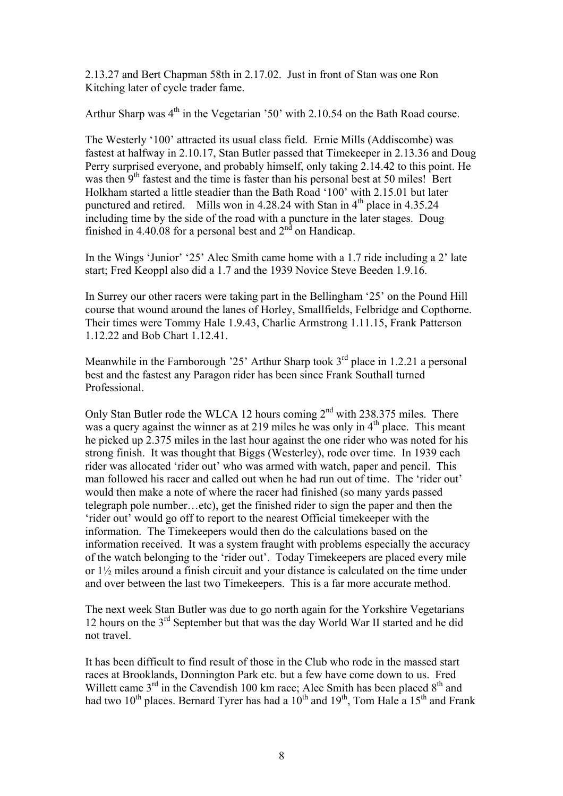2.13.27 and Bert Chapman 58th in 2.17.02. Just in front of Stan was one Ron Kitching later of cycle trader fame.

Arthur Sharp was  $4<sup>th</sup>$  in the Vegetarian '50' with 2.10.54 on the Bath Road course.

The Westerly '100' attracted its usual class field. Ernie Mills (Addiscombe) was fastest at halfway in 2.10.17, Stan Butler passed that Timekeeper in 2.13.36 and Doug Perry surprised everyone, and probably himself, only taking 2.14.42 to this point. He was then  $9<sup>th</sup>$  fastest and the time is faster than his personal best at 50 miles! Bert Holkham started a little steadier than the Bath Road '100' with 2.15.01 but later punctured and retired. Mills won in  $4.28.24$  with Stan in  $4<sup>th</sup>$  place in  $4.35.24$ including time by the side of the road with a puncture in the later stages. Doug finished in 4.40.08 for a personal best and  $2<sup>nd</sup>$  on Handicap.

In the Wings 'Junior' '25' Alec Smith came home with a 1.7 ride including a 2' late start; Fred Keoppl also did a 1.7 and the 1939 Novice Steve Beeden 1.9.16.

In Surrey our other racers were taking part in the Bellingham '25' on the Pound Hill course that wound around the lanes of Horley, Smallfields, Felbridge and Copthorne. Their times were Tommy Hale 1.9.43, Charlie Armstrong 1.11.15, Frank Patterson 1.12.22 and Bob Chart 1.12.41.

Meanwhile in the Farnborough '25' Arthur Sharp took  $3<sup>rd</sup>$  place in 1.2.21 a personal best and the fastest any Paragon rider has been since Frank Southall turned Professional.

Only Stan Butler rode the WLCA 12 hours coming 2<sup>nd</sup> with 238.375 miles. There was a query against the winner as at 219 miles he was only in  $4<sup>th</sup>$  place. This meant he picked up 2.375 miles in the last hour against the one rider who was noted for his strong finish. It was thought that Biggs (Westerley), rode over time. In 1939 each rider was allocated 'rider out' who was armed with watch, paper and pencil. This man followed his racer and called out when he had run out of time. The 'rider out' would then make a note of where the racer had finished (so many yards passed telegraph pole number…etc), get the finished rider to sign the paper and then the 'rider out' would go off to report to the nearest Official timekeeper with the information. The Timekeepers would then do the calculations based on the information received. It was a system fraught with problems especially the accuracy of the watch belonging to the 'rider out'. Today Timekeepers are placed every mile or 1½ miles around a finish circuit and your distance is calculated on the time under and over between the last two Timekeepers. This is a far more accurate method.

The next week Stan Butler was due to go north again for the Yorkshire Vegetarians 12 hours on the 3rd September but that was the day World War II started and he did not travel.

It has been difficult to find result of those in the Club who rode in the massed start races at Brooklands, Donnington Park etc. but a few have come down to us. Fred Willett came  $3<sup>rd</sup>$  in the Cavendish 100 km race; Alec Smith has been placed  $8<sup>th</sup>$  and had two  $10^{th}$  places. Bernard Tyrer has had a  $10^{th}$  and  $19^{th}$ , Tom Hale a  $15^{th}$  and Frank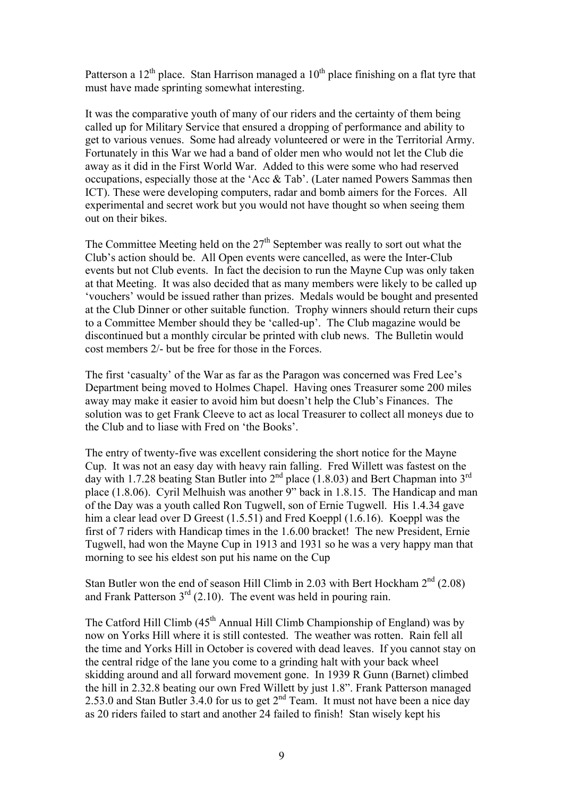Patterson a  $12<sup>th</sup>$  place. Stan Harrison managed a  $10<sup>th</sup>$  place finishing on a flat tyre that must have made sprinting somewhat interesting.

It was the comparative youth of many of our riders and the certainty of them being called up for Military Service that ensured a dropping of performance and ability to get to various venues. Some had already volunteered or were in the Territorial Army. Fortunately in this War we had a band of older men who would not let the Club die away as it did in the First World War. Added to this were some who had reserved occupations, especially those at the 'Acc & Tab'. (Later named Powers Sammas then ICT). These were developing computers, radar and bomb aimers for the Forces. All experimental and secret work but you would not have thought so when seeing them out on their bikes.

The Committee Meeting held on the  $27<sup>th</sup>$  September was really to sort out what the Club's action should be. All Open events were cancelled, as were the Inter-Club events but not Club events. In fact the decision to run the Mayne Cup was only taken at that Meeting. It was also decided that as many members were likely to be called up 'vouchers' would be issued rather than prizes. Medals would be bought and presented at the Club Dinner or other suitable function. Trophy winners should return their cups to a Committee Member should they be 'called-up'. The Club magazine would be discontinued but a monthly circular be printed with club news. The Bulletin would cost members 2/- but be free for those in the Forces.

The first 'casualty' of the War as far as the Paragon was concerned was Fred Lee's Department being moved to Holmes Chapel. Having ones Treasurer some 200 miles away may make it easier to avoid him but doesn't help the Club's Finances. The solution was to get Frank Cleeve to act as local Treasurer to collect all moneys due to the Club and to liase with Fred on 'the Books'.

The entry of twenty-five was excellent considering the short notice for the Mayne Cup. It was not an easy day with heavy rain falling. Fred Willett was fastest on the day with 1.7.28 beating Stan Butler into  $2<sup>nd</sup>$  place (1.8.03) and Bert Chapman into  $3<sup>rd</sup>$ place (1.8.06). Cyril Melhuish was another 9" back in 1.8.15. The Handicap and man of the Day was a youth called Ron Tugwell, son of Ernie Tugwell. His 1.4.34 gave him a clear lead over D Greest (1.5.51) and Fred Koeppl (1.6.16). Koeppl was the first of 7 riders with Handicap times in the 1.6.00 bracket! The new President, Ernie Tugwell, had won the Mayne Cup in 1913 and 1931 so he was a very happy man that morning to see his eldest son put his name on the Cup

Stan Butler won the end of season Hill Climb in 2.03 with Bert Hockham  $2<sup>nd</sup>$  (2.08) and Frank Patterson  $3^{rd}$  (2.10). The event was held in pouring rain.

The Catford Hill Climb (45<sup>th</sup> Annual Hill Climb Championship of England) was by now on Yorks Hill where it is still contested. The weather was rotten. Rain fell all the time and Yorks Hill in October is covered with dead leaves. If you cannot stay on the central ridge of the lane you come to a grinding halt with your back wheel skidding around and all forward movement gone. In 1939 R Gunn (Barnet) climbed the hill in 2.32.8 beating our own Fred Willett by just 1.8". Frank Patterson managed 2.53.0 and Stan Butler 3.4.0 for us to get  $2<sup>nd</sup>$  Team. It must not have been a nice day as 20 riders failed to start and another 24 failed to finish! Stan wisely kept his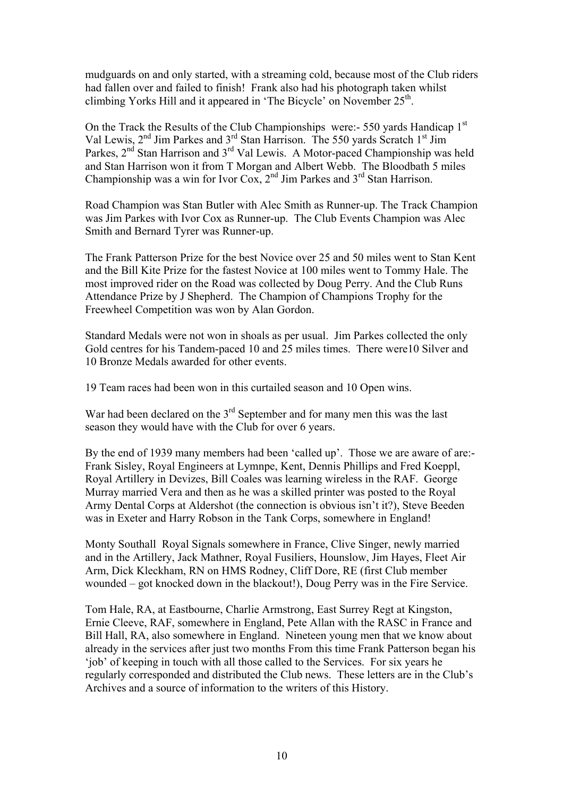mudguards on and only started, with a streaming cold, because most of the Club riders had fallen over and failed to finish! Frank also had his photograph taken whilst climbing Yorks Hill and it appeared in 'The Bicycle' on November  $25<sup>th</sup>$ .

On the Track the Results of the Club Championships were:- 550 yards Handicap 1<sup>st</sup> Val Lewis, 2<sup>nd</sup> Jim Parkes and 3<sup>rd</sup> Stan Harrison. The 550 yards Scratch 1<sup>st</sup> Jim Parkes, 2<sup>nd</sup> Stan Harrison and 3<sup>rd</sup> Val Lewis. A Motor-paced Championship was held and Stan Harrison won it from T Morgan and Albert Webb. The Bloodbath 5 miles Championship was a win for Ivor Cox, 2<sup>nd</sup> Jim Parkes and 3<sup>rd</sup> Stan Harrison.

Road Champion was Stan Butler with Alec Smith as Runner-up. The Track Champion was Jim Parkes with Ivor Cox as Runner-up. The Club Events Champion was Alec Smith and Bernard Tyrer was Runner-up.

The Frank Patterson Prize for the best Novice over 25 and 50 miles went to Stan Kent and the Bill Kite Prize for the fastest Novice at 100 miles went to Tommy Hale. The most improved rider on the Road was collected by Doug Perry. And the Club Runs Attendance Prize by J Shepherd. The Champion of Champions Trophy for the Freewheel Competition was won by Alan Gordon.

Standard Medals were not won in shoals as per usual. Jim Parkes collected the only Gold centres for his Tandem-paced 10 and 25 miles times. There were10 Silver and 10 Bronze Medals awarded for other events.

19 Team races had been won in this curtailed season and 10 Open wins.

War had been declared on the  $3<sup>rd</sup>$  September and for many men this was the last season they would have with the Club for over 6 years.

By the end of 1939 many members had been 'called up'. Those we are aware of are:- Frank Sisley, Royal Engineers at Lymnpe, Kent, Dennis Phillips and Fred Koeppl, Royal Artillery in Devizes, Bill Coales was learning wireless in the RAF. George Murray married Vera and then as he was a skilled printer was posted to the Royal Army Dental Corps at Aldershot (the connection is obvious isn't it?), Steve Beeden was in Exeter and Harry Robson in the Tank Corps, somewhere in England!

Monty Southall Royal Signals somewhere in France, Clive Singer, newly married and in the Artillery, Jack Mathner, Royal Fusiliers, Hounslow, Jim Hayes, Fleet Air Arm, Dick Kleckham, RN on HMS Rodney, Cliff Dore, RE (first Club member wounded – got knocked down in the blackout!), Doug Perry was in the Fire Service.

Tom Hale, RA, at Eastbourne, Charlie Armstrong, East Surrey Regt at Kingston, Ernie Cleeve, RAF, somewhere in England, Pete Allan with the RASC in France and Bill Hall, RA, also somewhere in England. Nineteen young men that we know about already in the services after just two months From this time Frank Patterson began his 'job' of keeping in touch with all those called to the Services. For six years he regularly corresponded and distributed the Club news. These letters are in the Club's Archives and a source of information to the writers of this History.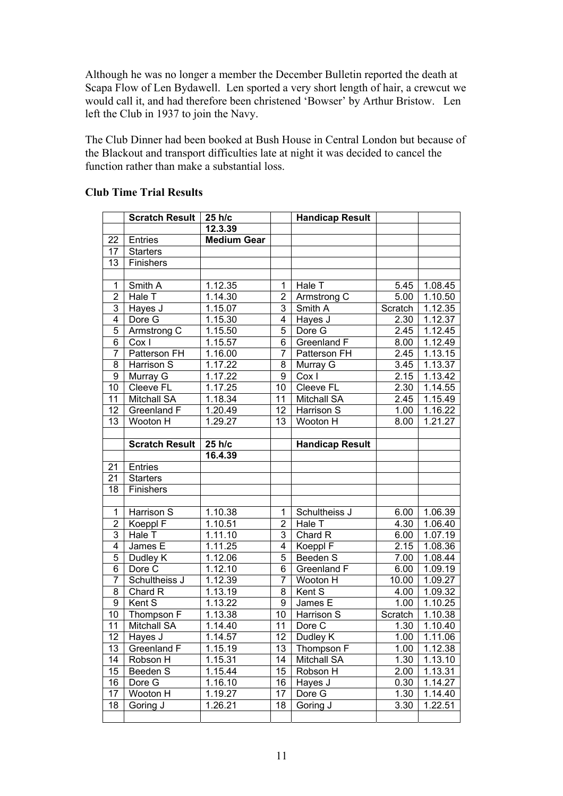Although he was no longer a member the December Bulletin reported the death at Scapa Flow of Len Bydawell. Len sported a very short length of hair, a crewcut we would call it, and had therefore been christened 'Bowser' by Arthur Bristow. Len left the Club in 1937 to join the Navy.

The Club Dinner had been booked at Bush House in Central London but because of the Blackout and transport difficulties late at night it was decided to cancel the function rather than make a substantial loss.

|                | <b>Scratch Result</b> | 25 h/c             |                | <b>Handicap Result</b> |         |                      |
|----------------|-----------------------|--------------------|----------------|------------------------|---------|----------------------|
|                |                       | 12.3.39            |                |                        |         |                      |
| 22             | <b>Entries</b>        | <b>Medium Gear</b> |                |                        |         |                      |
| 17             | <b>Starters</b>       |                    |                |                        |         |                      |
| 13             | Finishers             |                    |                |                        |         |                      |
|                |                       |                    |                |                        |         |                      |
| 1              | Smith A               | 1.12.35            | 1              | Hale T                 | 5.45    | 1.08.45              |
| $\overline{2}$ | Hale T                | 1.14.30            | $\overline{2}$ | Armstrong C            | 5.00    | 1.10.50              |
| 3              | Hayes J               | 1.15.07            | 3              | Smith A                | Scratch | 1.12.35              |
| 4              | Dore G                | 1.15.30            | 4              | Hayes J                | 2.30    | 1.12.37              |
| 5              | Armstrong C           | 1.15.50            | 5              | Dore G                 | 2.45    | 1.12.45              |
| $\overline{6}$ | Cox I                 | 1.15.57            | $\overline{6}$ | <b>Greenland F</b>     | 8.00    | 1.12.49              |
| $\overline{7}$ | Patterson FH          | 1.16.00            | $\overline{7}$ | Patterson FH           | 2.45    | $1.\overline{13.15}$ |
| 8              | Harrison S            | 1.17.22            | 8              | Murray G               | 3.45    | 1.13.37              |
| 9              | Murray G              | 1.17.22            | 9              | Cox I                  | 2.15    | 1.13.42              |
| 10             | Cleeve FL             | 1.17.25            | 10             | <b>Cleeve FL</b>       | 2.30    | 1.14.55              |
| 11             | <b>Mitchall SA</b>    | 1.18.34            | 11             | <b>Mitchall SA</b>     | 2.45    | 1.15.49              |
| 12             | Greenland F           | 1.20.49            | 12             | Harrison S             | 1.00    | 1.16.22              |
| 13             | Wooton H              | 1.29.27            | 13             | Wooton H               | 8.00    | 1.21.27              |
|                |                       |                    |                |                        |         |                      |
|                | <b>Scratch Result</b> | 25 h/c             |                | <b>Handicap Result</b> |         |                      |
|                |                       | 16.4.39            |                |                        |         |                      |
| 21             | Entries               |                    |                |                        |         |                      |
| 21             | <b>Starters</b>       |                    |                |                        |         |                      |
| 18             | Finishers             |                    |                |                        |         |                      |
|                |                       |                    |                |                        |         |                      |
| 1              | Harrison S            | 1.10.38            | 1              | Schultheiss J          | 6.00    | 1.06.39              |
| $\overline{2}$ | Koeppl F              | 1.10.51            | $\overline{2}$ | Hale T                 | 4.30    | 1.06.40              |
| 3              | Hale T                | 1.11.10            | 3              | Chard R                | 6.00    | 1.07.19              |
| 4              | James E               | 1.11.25            | 4              | Koeppl F               | 2.15    | 1.08.36              |
| 5              | Dudley K              | 1.12.06            | 5              | Beeden S               | 7.00    | 1.08.44              |
| 6              | Dore C                | 1.12.10            | 6              | Greenland F            | 6.00    | 1.09.19              |
| $\overline{7}$ | Schultheiss J         | 1.12.39            | 7              | Wooton H               | 10.00   | 1.09.27              |
| 8              | Chard R               | 1.13.19            | 8              | Kent S                 | 4.00    | 1.09.32              |
| 9              | Kent S                | 1.13.22            | 9              | James $E$              | 1.00    | 1.10.25              |
| 10             | Thompson F            | 1.13.38            | 10             | Harrison S             | Scratch | 1.10.38              |
| 11             | <b>Mitchall SA</b>    | 1.14.40            | 11             | Dore C                 | 1.30    | 1.10.40              |
| 12             | Hayes J               | 1.14.57            | 12             | Dudley K               | 1.00    | 1.11.06              |
| 13             | Greenland F           | 1.15.19            | 13             | Thompson F             | 1.00    | 1.12.38              |
| 14             | Robson H              | 1.15.31            | 14             | Mitchall SA            | 1.30    | 1.13.10              |
| 15             | Beeden S              | 1.15.44            | 15             | Robson H               | 2.00    | 1.13.31              |
| 16             | Dore G                | 1.16.10            | 16             | Hayes J                | 0.30    | 1.14.27              |
| 17             | Wooton H              | 1.19.27            | 17             | Dore G                 | 1.30    | 1.14.40              |
| 18             | Goring J              | 1.26.21            | 18             | Goring J               | 3.30    | 1.22.51              |
|                |                       |                    |                |                        |         |                      |

## **Club Time Trial Results**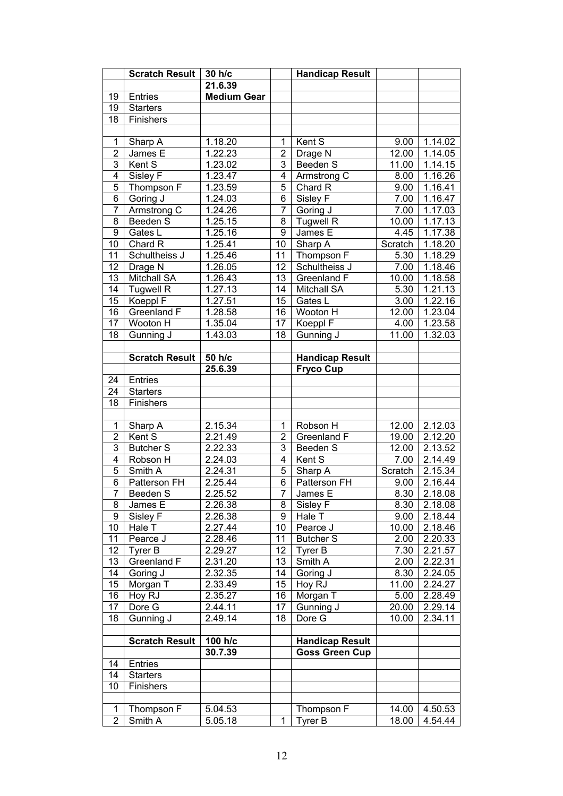|                  | <b>Scratch Result</b> | 30 h/c               |                | <b>Handicap Result</b> |         |                      |
|------------------|-----------------------|----------------------|----------------|------------------------|---------|----------------------|
|                  |                       | 21.6.39              |                |                        |         |                      |
| 19               | Entries               | <b>Medium Gear</b>   |                |                        |         |                      |
| 19               | <b>Starters</b>       |                      |                |                        |         |                      |
| 18               | Finishers             |                      |                |                        |         |                      |
|                  |                       |                      |                |                        |         |                      |
| 1                | Sharp A               | 1.18.20              | 1              | Kent S                 | 9.00    | 1.14.02              |
| $\overline{2}$   | James E               | 1.22.23              | $\overline{2}$ | Drage N                | 12.00   | 1.14.05              |
| 3                | Kent S                | 1.23.02              | 3              | Beeden S               | 11.00   | 1.14.15              |
| $\overline{4}$   | Sisley F              | 1.23.47              | 4              | Armstrong C            | 8.00    | 1.16.26              |
| $\overline{5}$   | Thompson F            | 1.23.59              | 5              | Chard R                | 9.00    | 1.16.41              |
| $\overline{6}$   | Goring J              | 1.24.03              | 6              | Sisley F               | 7.00    | 1.16.47              |
| $\overline{7}$   | Armstrong C           | 1.24.26              | 7              | Goring J               | 7.00    | 1.17.03              |
| $\overline{8}$   | Beeden S              | 1.25.15              | 8              | <b>Tugwell R</b>       | 10.00   | 1.17.13              |
| $\boldsymbol{9}$ | Gates L               | 1.25.16              | 9              | James E                | 4.45    | 1.17.38              |
| 10               | Chard R               | 1.25.41              | 10             | Sharp A                | Scratch | 1.18.20              |
| 11               | Schultheiss J         | 1.25.46              | 11             | Thompson F             | 5.30    | 1.18.29              |
| 12               | Drage N               | 1.26.05              | 12             | Schultheiss J          | 7.00    | 1.18.46              |
| 13               | Mitchall SA           | 1.26.43              | 13             | Greenland F            | 10.00   | 1.18.58              |
| 14               | <b>Tugwell R</b>      | 1.27.13              | 14             | <b>Mitchall SA</b>     | 5.30    | $\overline{1.21.13}$ |
| 15               | Koeppl F              | 1.27.51              | 15             | Gates L                | 3.00    | 1.22.16              |
| 16               | <b>Greenland F</b>    | 1.28.58              | 16             | Wooton H               | 12.00   | $\overline{1.23.04}$ |
| 17               | Wooton H              | 1.35.04              | 17             | Koeppl F               | 4.00    | 1.23.58              |
| 18               | Gunning J             | 1.43.03              | 18             | Gunning J              | 11.00   | 1.32.03              |
|                  |                       |                      |                |                        |         |                      |
|                  | <b>Scratch Result</b> | 50 h/c               |                | <b>Handicap Result</b> |         |                      |
|                  |                       | 25.6.39              |                | <b>Fryco Cup</b>       |         |                      |
| 24               | Entries               |                      |                |                        |         |                      |
| 24               | <b>Starters</b>       |                      |                |                        |         |                      |
| 18               | Finishers             |                      |                |                        |         |                      |
|                  |                       |                      |                |                        |         |                      |
| 1                | Sharp A               | 2.15.34              | 1              | Robson H               | 12.00   | 2.12.03              |
| $\overline{2}$   | Kent S                | 2.21.49              | $\overline{2}$ | Greenland F            | 19.00   | 2.12.20              |
| 3                | <b>Butcher S</b>      | 2.22.33              | 3              | Beeden S               | 12.00   | 2.13.52              |
| $\overline{4}$   | Robson H              | 2.24.03              | 4              | Kent S                 | 7.00    | 2.14.49              |
| $\overline{5}$   | Smith A               | 2.24.31              | 5              | Sharp A                | Scratch | 2.15.34              |
| $\overline{6}$   | Patterson FH          | 2.25.44              | 6              | Patterson FH           | 9.00    | 2.16.44              |
| $\overline{7}$   | Beeden S              | $2.\overline{25.52}$ | $\overline{7}$ | James E                | 8.30    | 2.18.08              |
| 8                | James E               | 2.26.38              | 8              | Sisley F               | 8.30    | 2.18.08              |
| 9                | Sisley F              | 2.26.38              | 9              | Hale T                 | 9.00    | 2.18.44              |
| 10               | Hale T                | 2.27.44              | 10             | Pearce J               | 10.00   | 2.18.46              |
| 11               | Pearce J              | 2.28.46              | 11             | <b>Butcher S</b>       | 2.00    | 2.20.33              |
| 12               | Tyrer B               | 2.29.27              | 12             | Tyrer B                | 7.30    | 2.21.57              |
| 13               | Greenland F           | 2.31.20              | 13             | Smith A                | 2.00    | 2.22.31              |
| 14               | Goring J              | 2.32.35              | 14             | Goring J               | 8.30    | 2.24.05              |
| 15               | Morgan T              | 2.33.49              | 15             | Hoy RJ                 | 11.00   | 2.24.27              |
| 16               | Hoy RJ                | 2.35.27              | 16             | Morgan T               | 5.00    | 2.28.49              |
| 17               | Dore G                | 2.44.11              | 17             | Gunning J              | 20.00   | 2.29.14              |
| 18               | Gunning J             | 2.49.14              | 18             | Dore G                 | 10.00   | 2.34.11              |
|                  |                       |                      |                |                        |         |                      |
|                  | <b>Scratch Result</b> | 100 h/c              |                | <b>Handicap Result</b> |         |                      |
|                  |                       | 30.7.39              |                | <b>Goss Green Cup</b>  |         |                      |
| 14               | <b>Entries</b>        |                      |                |                        |         |                      |
| 14               | <b>Starters</b>       |                      |                |                        |         |                      |
| 10               |                       |                      |                |                        |         |                      |
|                  | Finishers             |                      |                |                        |         |                      |
|                  |                       |                      |                |                        |         |                      |
| 1                | Thompson F            | 5.04.53              |                | Thompson F             | 14.00   | 4.50.53              |
| $\overline{2}$   | Smith A               | 5.05.18              | 1              | Tyrer B                | 18.00   | 4.54.44              |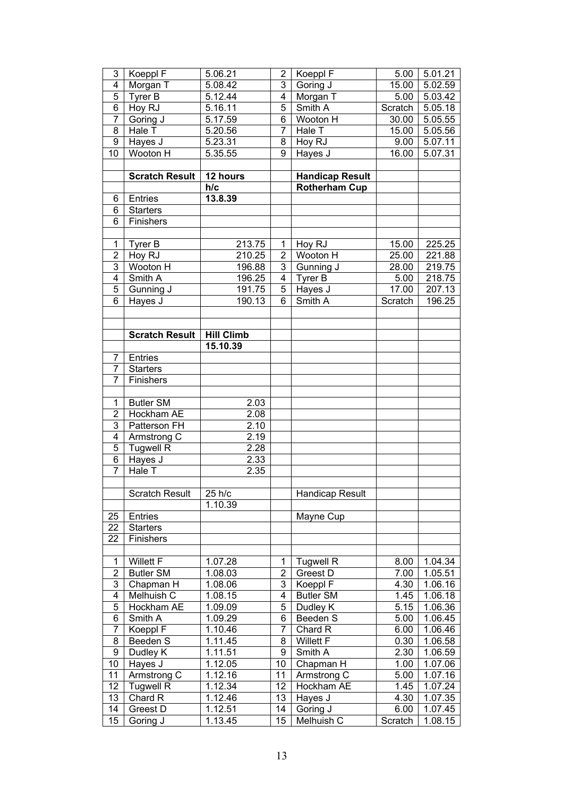| 3                            | Koeppl F                | $5.06.2\overline{1}$ | 2               | Koeppl F                     | 5.00              | 5.01.21 |
|------------------------------|-------------------------|----------------------|-----------------|------------------------------|-------------------|---------|
| $\overline{4}$               | Morgan T                | 5.08.42              | $\overline{3}$  | Goring J                     | 15.00             | 5.02.59 |
| $\overline{5}$               | Tyrer B                 | 5.12.44              | 4               | Morgan T                     | 5.00              | 5.03.42 |
| $\overline{6}$               | Hoy RJ                  | 5.16.11              | $\overline{5}$  | Smith A                      | Scratch           | 5.05.18 |
| $\overline{7}$               | Goring J                | 5.17.59              | 6               | Wooton H                     | 30.00             | 5.05.55 |
| $\overline{8}$               | Hale T                  | 5.20.56              | 7               | Hale T                       | 15.00             | 5.05.56 |
| 9                            | Hayes J                 | $5.23.\overline{31}$ | 8               | Hoy RJ                       | 9.00              | 5.07.11 |
| 10                           | Wooton H                | 5.35.55              | 9               | Hayes J                      | 16.00             | 5.07.31 |
|                              |                         |                      |                 |                              |                   |         |
|                              | <b>Scratch Result</b>   | 12 hours             |                 | <b>Handicap Result</b>       |                   |         |
|                              |                         | h/c                  |                 | <b>Rotherham Cup</b>         |                   |         |
| 6                            | Entries                 | 13.8.39              |                 |                              |                   |         |
| 6                            | <b>Starters</b>         |                      |                 |                              |                   |         |
| 6                            | Finishers               |                      |                 |                              |                   |         |
|                              |                         |                      |                 |                              |                   |         |
| $\mathbf 1$                  | Tyrer B                 | 213.75               | 1               | Hoy RJ                       | 15.00             | 225.25  |
| $\overline{2}$               | Hoy RJ                  | 210.25               | $\overline{2}$  | Wooton H                     | 25.00             | 221.88  |
| 3                            | Wooton H                | 196.88               | $\overline{3}$  |                              | 28.00             | 219.75  |
| $\overline{4}$               |                         |                      | 4               | Gunning J                    |                   |         |
|                              | Smith A                 | 196.25               |                 | Tyrer B                      | 5.00              | 218.75  |
| $\overline{5}$               | Gunning J               | 191.75               | 5               | Hayes J                      | 17.00             | 207.13  |
| $\overline{6}$               | Hayes J                 | 190.13               | 6               | Smith A                      | Scratch           | 196.25  |
|                              |                         |                      |                 |                              |                   |         |
|                              |                         |                      |                 |                              |                   |         |
|                              | <b>Scratch Result</b>   | <b>Hill Climb</b>    |                 |                              |                   |         |
|                              |                         | 15.10.39             |                 |                              |                   |         |
| 7                            | Entries                 |                      |                 |                              |                   |         |
| 7                            | <b>Starters</b>         |                      |                 |                              |                   |         |
| 7                            | Finishers               |                      |                 |                              |                   |         |
| 1                            | <b>Butler SM</b>        | 2.03                 |                 |                              |                   |         |
| $\overline{2}$               | Hockham AE              | 2.08                 |                 |                              |                   |         |
| 3                            | Patterson FH            | 2.10                 |                 |                              |                   |         |
| $\overline{4}$               |                         | 2.19                 |                 |                              |                   |         |
| $\overline{5}$               | Armstrong C             |                      |                 |                              |                   |         |
| $\overline{6}$               | <b>Tugwell R</b>        | 2.28                 |                 |                              |                   |         |
| $\overline{7}$               | Hayes J<br>Hale T       | 2.33<br>2.35         |                 |                              |                   |         |
|                              |                         |                      |                 |                              |                   |         |
|                              | <b>Scratch Result</b>   | $\sqrt{25}$ h/c      |                 | <b>Handicap Result</b>       |                   |         |
|                              |                         | 1.10.39              |                 |                              |                   |         |
|                              | Entries                 |                      |                 |                              |                   |         |
| 25<br>22                     | <b>Starters</b>         |                      |                 | Mayne Cup                    |                   |         |
| 22                           | Finishers               |                      |                 |                              |                   |         |
|                              |                         |                      |                 |                              |                   |         |
| 1                            | <b>Willett F</b>        | 1.07.28              | 1               | <b>Tugwell R</b>             | 8.00              | 1.04.34 |
| $\overline{2}$               |                         |                      | $\overline{2}$  |                              |                   |         |
|                              | <b>Butler SM</b>        | 1.08.03              | 3               | Greest D                     | 7.00              | 1.05.51 |
| 3<br>$\overline{\mathbf{4}}$ | Chapman H<br>Melhuish C | 1.08.06<br>1.08.15   | 4               | Koeppl F<br><b>Butler SM</b> | 4.30<br>1.45      | 1.06.16 |
|                              |                         |                      |                 |                              |                   | 1.06.18 |
| 5<br>6                       | Hockham AE              | 1.09.09              | 5<br>6          | Dudley K                     | 5.15              | 1.06.36 |
|                              | Smith A                 | 1.09.29              |                 | Beeden S                     | 5.00              | 1.06.45 |
| 7                            | Koeppl F                | 1.10.46              | 7               | Chard R                      | 6.00              | 1.06.46 |
| 8                            | Beeden S                | 1.11.45              | 8               | <b>Willett F</b>             | 0.30              | 1.06.58 |
| 9                            | Dudley K                | 1.11.51              | 9               | Smith A                      | $2.\overline{30}$ | 1.06.59 |
| 10                           | Hayes J                 | 1.12.05              | 10 <sup>1</sup> | Chapman H                    | 1.00              | 1.07.06 |
| 11                           | Armstrong C             | 1.12.16              | 11              | Armstrong C                  | 5.00              | 1.07.16 |
| 12                           | <b>Tugwell R</b>        | $1.12.\overline{34}$ | 12              | Hockham AE                   | 1.45              | 1.07.24 |
| 13                           | Chard R                 | 1.12.46              | 13              | Hayes J                      | 4.30              | 1.07.35 |
| 14<br>15                     | Greest D<br>Goring J    | 1.12.51<br>1.13.45   | 14<br>15        | Goring J<br>Melhuish C       | 6.00<br>Scratch   | 1.07.45 |
|                              |                         |                      |                 |                              |                   | 1.08.15 |